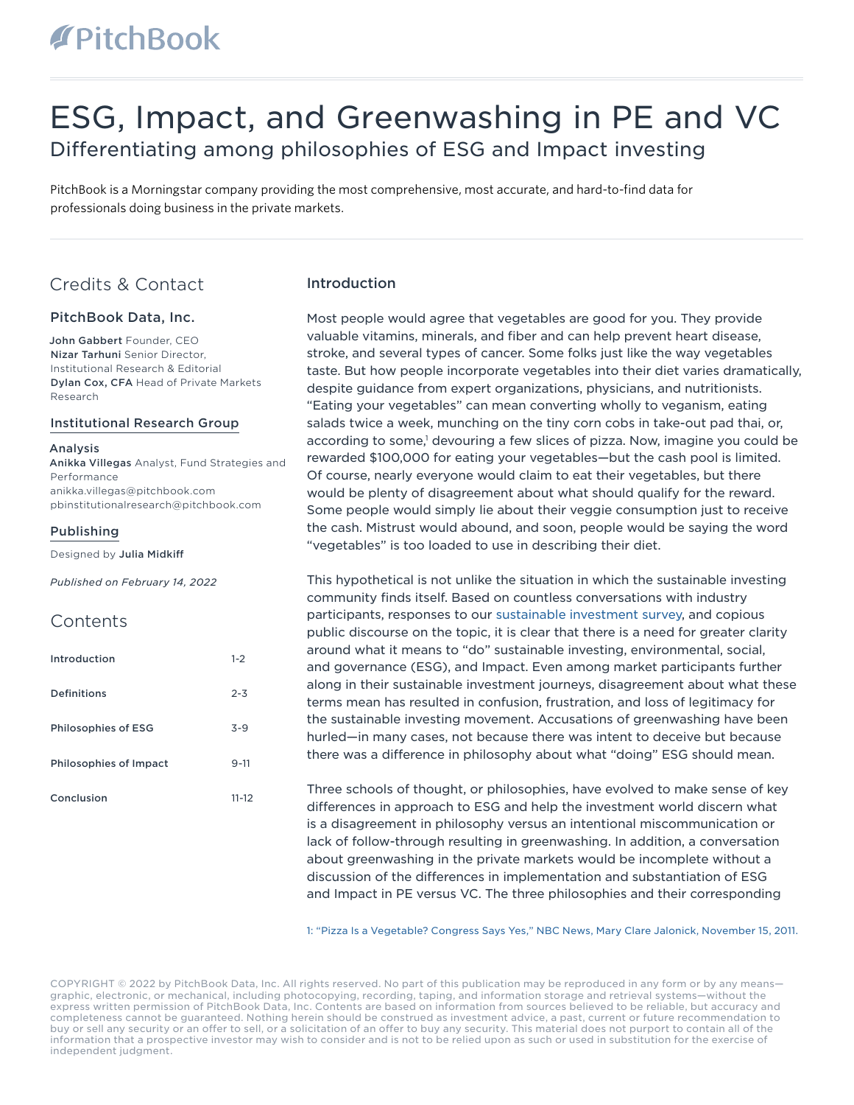# **TPitchBook**

## ESG, Impact, and Greenwashing in PE and VC Differentiating among philosophies of ESG and Impact investing

PitchBook is a Morningstar company providing the most comprehensive, most accurate, and hard-to-find data for professionals doing business in the private markets.

### Credits & Contact

#### PitchBook Data, Inc.

John Gabbert Founder, CEO Nizar Tarhuni Senior Director, Institutional Research & Editorial Dylan Cox, CFA Head of Private Markets Research

#### Institutional Research Group

Analysis Anikka Villegas Analyst, Fund Strategies and Performance anikka.villegas@pitchbook.com pbinstitutionalresearch@pitchbook.com

#### Publishing

Designed by Julia Midkiff

*Published on February 14, 2022*

### **Contents**

| Introduction               | $1 - 2$   |
|----------------------------|-----------|
| Definitions                | $2 - 3$   |
| <b>Philosophies of ESG</b> | $3 - 9$   |
| Philosophies of Impact     | $9 - 11$  |
| Conclusion                 | $11 - 12$ |

#### Introduction

Most people would agree that vegetables are good for you. They provide valuable vitamins, minerals, and fiber and can help prevent heart disease, stroke, and several types of cancer. Some folks just like the way vegetables taste. But how people incorporate vegetables into their diet varies dramatically, despite guidance from expert organizations, physicians, and nutritionists. "Eating your vegetables" can mean converting wholly to veganism, eating salads twice a week, munching on the tiny corn cobs in take-out pad thai, or, according to some,<sup>1</sup> devouring a few slices of pizza. Now, imagine you could be rewarded \$100,000 for eating your vegetables—but the cash pool is limited. Of course, nearly everyone would claim to eat their vegetables, but there would be plenty of disagreement about what should qualify for the reward. Some people would simply lie about their veggie consumption just to receive the cash. Mistrust would abound, and soon, people would be saying the word "vegetables" is too loaded to use in describing their diet.

This hypothetical is not unlike the situation in which the sustainable investing community finds itself. Based on countless conversations with industry participants, responses to our [sustainable investment survey,](https://files.pitchbook.com/website/files/pdf/PitchBook_2021_Sustainable_Investment_Survey.pdf) and copious public discourse on the topic, it is clear that there is a need for greater clarity around what it means to "do" sustainable investing, environmental, social, and governance (ESG), and Impact. Even among market participants further along in their sustainable investment journeys, disagreement about what these terms mean has resulted in confusion, frustration, and loss of legitimacy for the sustainable investing movement. Accusations of greenwashing have been hurled—in many cases, not because there was intent to deceive but because there was a difference in philosophy about what "doing" ESG should mean.

Three schools of thought, or philosophies, have evolved to make sense of key differences in approach to ESG and help the investment world discern what is a disagreement in philosophy versus an intentional miscommunication or lack of follow-through resulting in greenwashing. In addition, a conversation about greenwashing in the private markets would be incomplete without a discussion of the differences in implementation and substantiation of ESG and Impact in PE versus VC. The three philosophies and their corresponding

[1: "Pizza Is a Vegetable? Congress Says Yes," NBC News, Mary Clare Jalonick, November 15, 2011.](https://www.nbcnews.com/health/health-news/pizza-vegetable-congress-says-yes-flna1c9453097)

COPYRIGHT © 2022 by PitchBook Data, Inc. All rights reserved. No part of this publication may be reproduced in any form or by any means graphic, electronic, or mechanical, including photocopying, recording, taping, and information storage and retrieval systems—without the express written permission of PitchBook Data, Inc. Contents are based on information from sources believed to be reliable, but accuracy and completeness cannot be guaranteed. Nothing herein should be construed as investment advice, a past, current or future recommendation to buy or sell any security or an offer to sell, or a solicitation of an offer to buy any security. This material does not purport to contain all of the information that a prospective investor may wish to consider and is not to be relied upon as such or used in substitution for the exercise of independent judgment.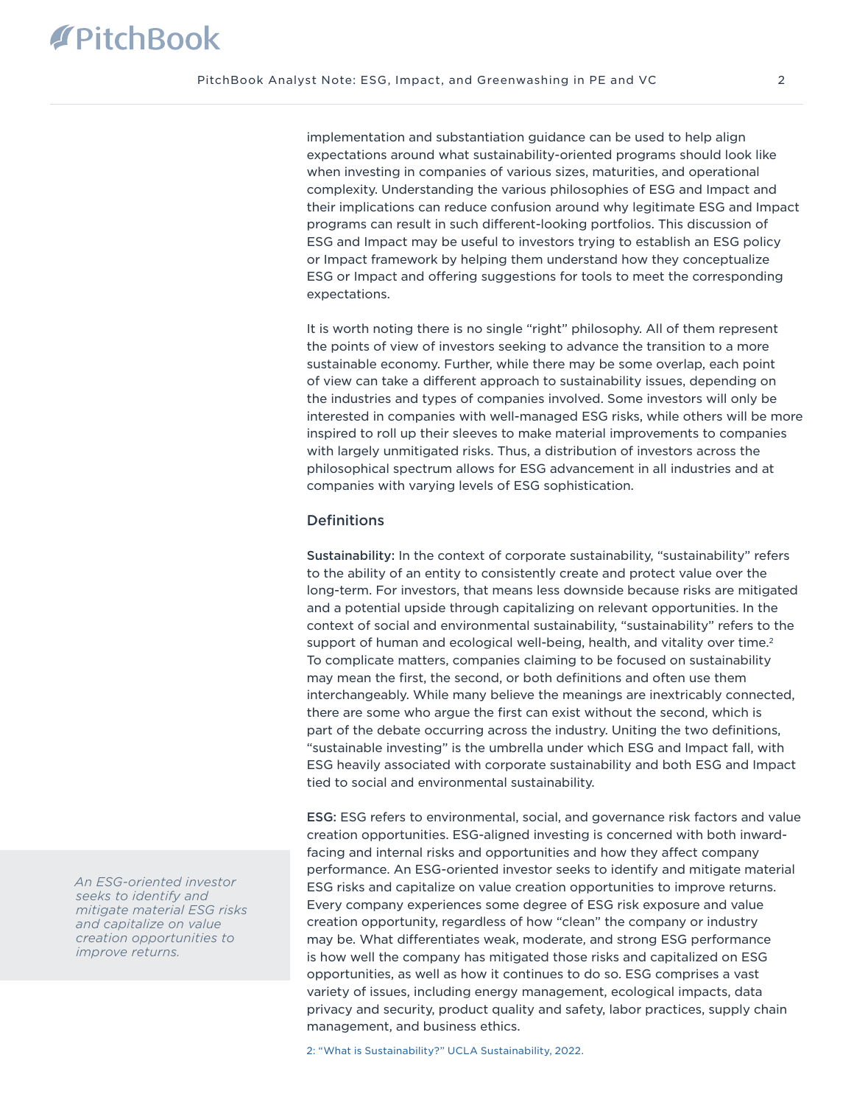implementation and substantiation guidance can be used to help align expectations around what sustainability-oriented programs should look like when investing in companies of various sizes, maturities, and operational complexity. Understanding the various philosophies of ESG and Impact and their implications can reduce confusion around why legitimate ESG and Impact programs can result in such different-looking portfolios. This discussion of ESG and Impact may be useful to investors trying to establish an ESG policy or Impact framework by helping them understand how they conceptualize ESG or Impact and offering suggestions for tools to meet the corresponding expectations.

It is worth noting there is no single "right" philosophy. All of them represent the points of view of investors seeking to advance the transition to a more sustainable economy. Further, while there may be some overlap, each point of view can take a different approach to sustainability issues, depending on the industries and types of companies involved. Some investors will only be interested in companies with well-managed ESG risks, while others will be more inspired to roll up their sleeves to make material improvements to companies with largely unmitigated risks. Thus, a distribution of investors across the philosophical spectrum allows for ESG advancement in all industries and at companies with varying levels of ESG sophistication.

#### **Definitions**

Sustainability: In the context of corporate sustainability, "sustainability" refers to the ability of an entity to consistently create and protect value over the long-term. For investors, that means less downside because risks are mitigated and a potential upside through capitalizing on relevant opportunities. In the context of social and environmental sustainability, "sustainability" refers to the support of human and ecological well-being, health, and vitality over time. $2$ To complicate matters, companies claiming to be focused on sustainability may mean the first, the second, or both definitions and often use them interchangeably. While many believe the meanings are inextricably connected, there are some who argue the first can exist without the second, which is part of the debate occurring across the industry. Uniting the two definitions, "sustainable investing" is the umbrella under which ESG and Impact fall, with ESG heavily associated with corporate sustainability and both ESG and Impact tied to social and environmental sustainability.

ESG: ESG refers to environmental, social, and governance risk factors and value creation opportunities. ESG-aligned investing is concerned with both inwardfacing and internal risks and opportunities and how they affect company performance. An ESG-oriented investor seeks to identify and mitigate material ESG risks and capitalize on value creation opportunities to improve returns. Every company experiences some degree of ESG risk exposure and value creation opportunity, regardless of how "clean" the company or industry may be. What differentiates weak, moderate, and strong ESG performance is how well the company has mitigated those risks and capitalized on ESG opportunities, as well as how it continues to do so. ESG comprises a vast variety of issues, including energy management, ecological impacts, data privacy and security, product quality and safety, labor practices, supply chain management, and business ethics.

*An ESG-oriented investor seeks to identify and mitigate material ESG risks and capitalize on value creation opportunities to improve returns.*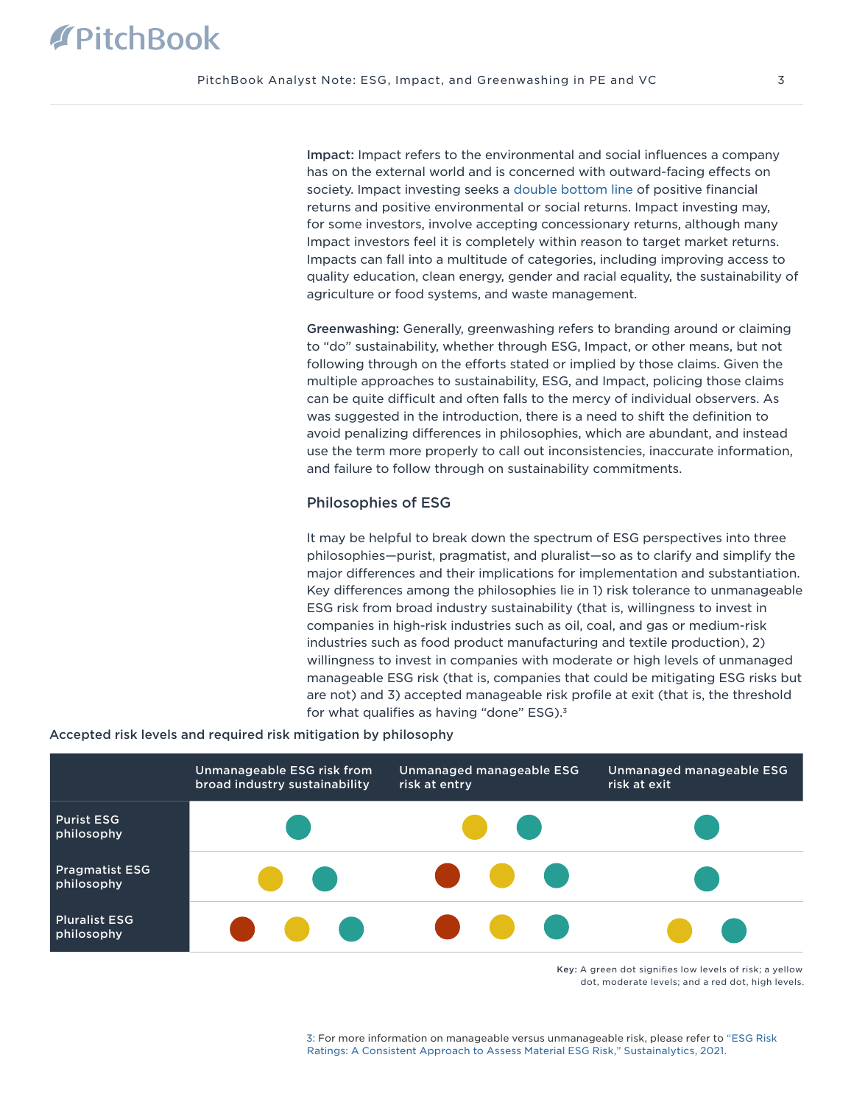Impact: Impact refers to the environmental and social influences a company has on the external world and is concerned with outward-facing effects on society. Impact investing seeks a [double bottom line](https://files.pitchbook.com/website/files/pdf/PitchBook_Q2_2020_Analyst_Note_The_Double_Bottom_Line_Private_Market_Impact_Investment.pdf) of positive financial returns and positive environmental or social returns. Impact investing may, for some investors, involve accepting concessionary returns, although many Impact investors feel it is completely within reason to target market returns. Impacts can fall into a multitude of categories, including improving access to quality education, clean energy, gender and racial equality, the sustainability of agriculture or food systems, and waste management.

Greenwashing: Generally, greenwashing refers to branding around or claiming to "do" sustainability, whether through ESG, Impact, or other means, but not following through on the efforts stated or implied by those claims. Given the multiple approaches to sustainability, ESG, and Impact, policing those claims can be quite difficult and often falls to the mercy of individual observers. As was suggested in the introduction, there is a need to shift the definition to avoid penalizing differences in philosophies, which are abundant, and instead use the term more properly to call out inconsistencies, inaccurate information, and failure to follow through on sustainability commitments.

#### Philosophies of ESG

It may be helpful to break down the spectrum of ESG perspectives into three philosophies—purist, pragmatist, and pluralist—so as to clarify and simplify the major differences and their implications for implementation and substantiation. Key differences among the philosophies lie in 1) risk tolerance to unmanageable ESG risk from broad industry sustainability (that is, willingness to invest in companies in high-risk industries such as oil, coal, and gas or medium-risk industries such as food product manufacturing and textile production), 2) willingness to invest in companies with moderate or high levels of unmanaged manageable ESG risk (that is, companies that could be mitigating ESG risks but are not) and 3) accepted manageable risk profile at exit (that is, the threshold for what qualifies as having "done" ESG). $3$ 

#### Accepted risk levels and required risk mitigation by philosophy



Key: A green dot signifies low levels of risk; a yellow dot, moderate levels; and a red dot, high levels.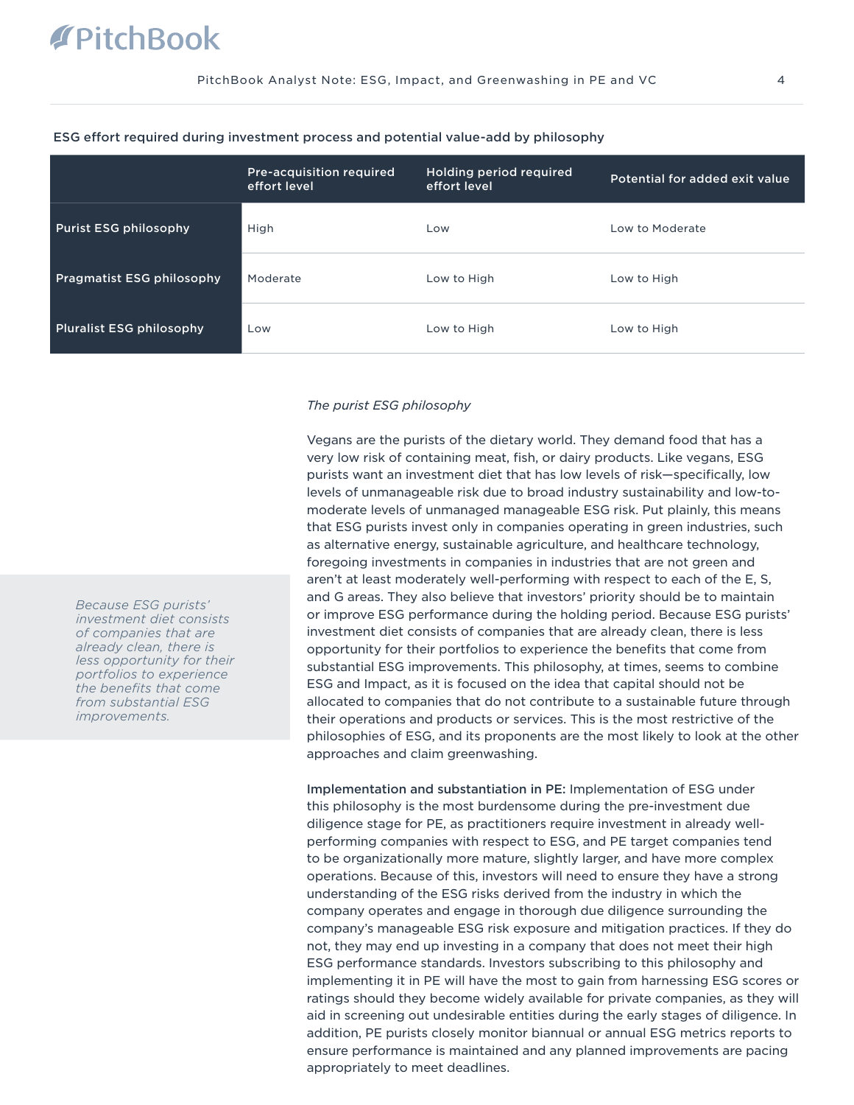# **PitchBook**

|                                  | <b>Pre-acquisition required</b><br>effort level | <b>Holding period required</b><br>effort level | Potential for added exit value |
|----------------------------------|-------------------------------------------------|------------------------------------------------|--------------------------------|
| <b>Purist ESG philosophy</b>     | High                                            | Low                                            | Low to Moderate                |
| <b>Pragmatist ESG philosophy</b> | Moderate                                        | Low to High                                    | Low to High                    |
| <b>Pluralist ESG philosophy</b>  | Low                                             | Low to High                                    | Low to High                    |

#### ESG effort required during investment process and potential value-add by philosophy

#### *The purist ESG philosophy*

Vegans are the purists of the dietary world. They demand food that has a very low risk of containing meat, fish, or dairy products. Like vegans, ESG purists want an investment diet that has low levels of risk—specifically, low levels of unmanageable risk due to broad industry sustainability and low-tomoderate levels of unmanaged manageable ESG risk. Put plainly, this means that ESG purists invest only in companies operating in green industries, such as alternative energy, sustainable agriculture, and healthcare technology, foregoing investments in companies in industries that are not green and aren't at least moderately well-performing with respect to each of the E, S, and G areas. They also believe that investors' priority should be to maintain or improve ESG performance during the holding period. Because ESG purists' investment diet consists of companies that are already clean, there is less opportunity for their portfolios to experience the benefits that come from substantial ESG improvements. This philosophy, at times, seems to combine ESG and Impact, as it is focused on the idea that capital should not be allocated to companies that do not contribute to a sustainable future through their operations and products or services. This is the most restrictive of the philosophies of ESG, and its proponents are the most likely to look at the other approaches and claim greenwashing.

Implementation and substantiation in PE: Implementation of ESG under this philosophy is the most burdensome during the pre-investment due diligence stage for PE, as practitioners require investment in already wellperforming companies with respect to ESG, and PE target companies tend to be organizationally more mature, slightly larger, and have more complex operations. Because of this, investors will need to ensure they have a strong understanding of the ESG risks derived from the industry in which the company operates and engage in thorough due diligence surrounding the company's manageable ESG risk exposure and mitigation practices. If they do not, they may end up investing in a company that does not meet their high ESG performance standards. Investors subscribing to this philosophy and implementing it in PE will have the most to gain from harnessing ESG scores or ratings should they become widely available for private companies, as they will aid in screening out undesirable entities during the early stages of diligence. In addition, PE purists closely monitor biannual or annual ESG metrics reports to ensure performance is maintained and any planned improvements are pacing appropriately to meet deadlines.

*Because ESG purists' investment diet consists of companies that are already clean, there is less opportunity for their portfolios to experience the benefits that come from substantial ESG improvements.*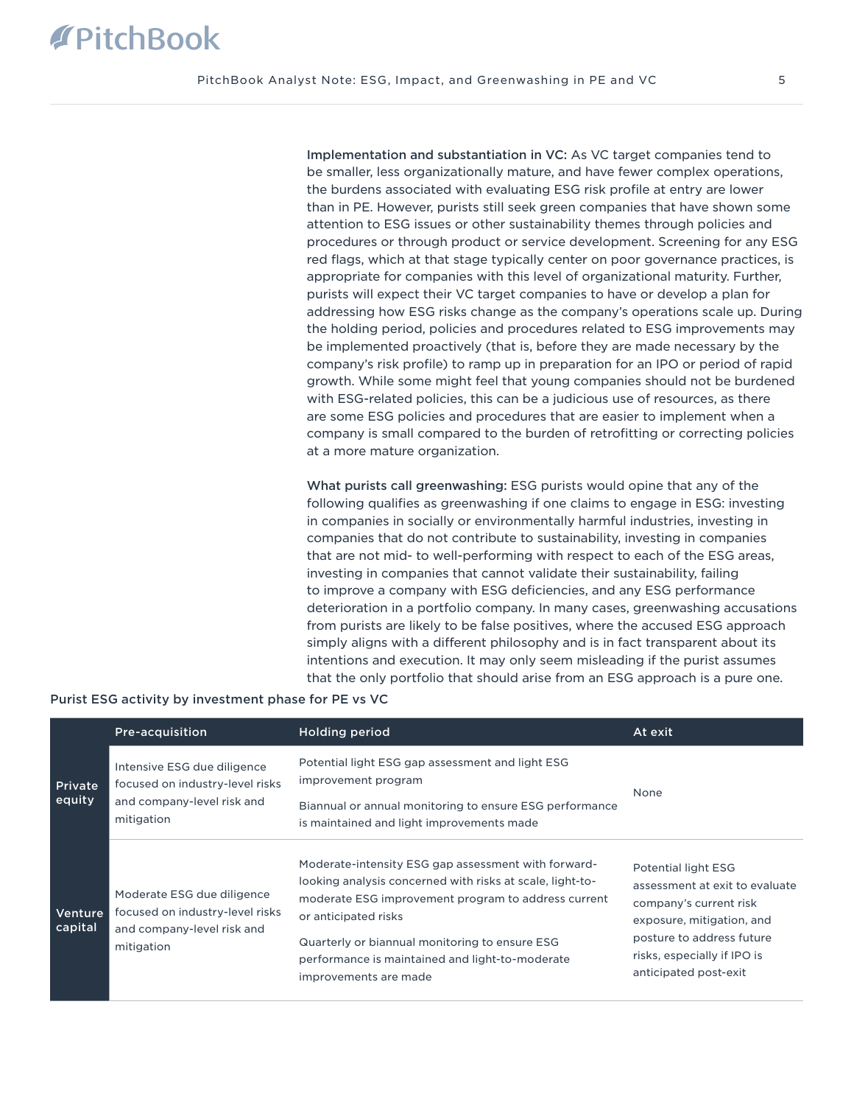Implementation and substantiation in VC: As VC target companies tend to be smaller, less organizationally mature, and have fewer complex operations, the burdens associated with evaluating ESG risk profile at entry are lower than in PE. However, purists still seek green companies that have shown some attention to ESG issues or other sustainability themes through policies and procedures or through product or service development. Screening for any ESG red flags, which at that stage typically center on poor governance practices, is appropriate for companies with this level of organizational maturity. Further, purists will expect their VC target companies to have or develop a plan for addressing how ESG risks change as the company's operations scale up. During the holding period, policies and procedures related to ESG improvements may be implemented proactively (that is, before they are made necessary by the company's risk profile) to ramp up in preparation for an IPO or period of rapid growth. While some might feel that young companies should not be burdened with ESG-related policies, this can be a judicious use of resources, as there are some ESG policies and procedures that are easier to implement when a company is small compared to the burden of retrofitting or correcting policies at a more mature organization.

What purists call greenwashing: ESG purists would opine that any of the following qualifies as greenwashing if one claims to engage in ESG: investing in companies in socially or environmentally harmful industries, investing in companies that do not contribute to sustainability, investing in companies that are not mid- to well-performing with respect to each of the ESG areas, investing in companies that cannot validate their sustainability, failing to improve a company with ESG deficiencies, and any ESG performance deterioration in a portfolio company. In many cases, greenwashing accusations from purists are likely to be false positives, where the accused ESG approach simply aligns with a different philosophy and is in fact transparent about its intentions and execution. It may only seem misleading if the purist assumes that the only portfolio that should arise from an ESG approach is a pure one.

|                          | Pre-acquisition                                                                                            | <b>Holding period</b>                                                                                                                                                                                                                                                                                                         | At exit                                                                                                                                                                                           |
|--------------------------|------------------------------------------------------------------------------------------------------------|-------------------------------------------------------------------------------------------------------------------------------------------------------------------------------------------------------------------------------------------------------------------------------------------------------------------------------|---------------------------------------------------------------------------------------------------------------------------------------------------------------------------------------------------|
| <b>Private</b><br>equity | Intensive ESG due diligence<br>focused on industry-level risks<br>and company-level risk and<br>mitigation | Potential light ESG gap assessment and light ESG<br>improvement program<br>Biannual or annual monitoring to ensure ESG performance<br>is maintained and light improvements made                                                                                                                                               | None                                                                                                                                                                                              |
| Venture<br>capital       | Moderate ESG due diligence<br>focused on industry-level risks<br>and company-level risk and<br>mitigation  | Moderate-intensity ESG gap assessment with forward-<br>looking analysis concerned with risks at scale, light-to-<br>moderate ESG improvement program to address current<br>or anticipated risks<br>Quarterly or biannual monitoring to ensure ESG<br>performance is maintained and light-to-moderate<br>improvements are made | Potential light ESG<br>assessment at exit to evaluate<br>company's current risk<br>exposure, mitigation, and<br>posture to address future<br>risks, especially if IPO is<br>anticipated post-exit |

#### Purist ESG activity by investment phase for PE vs VC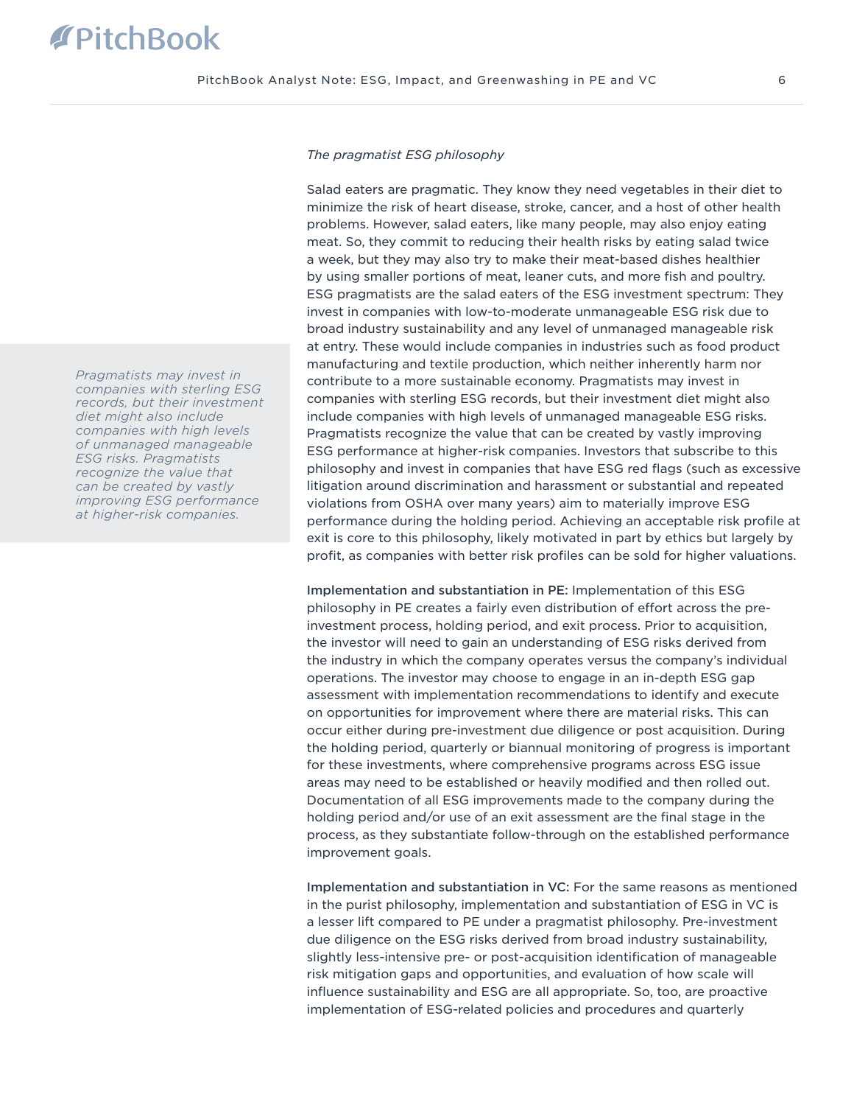#### *The pragmatist ESG philosophy*

Salad eaters are pragmatic. They know they need vegetables in their diet to minimize the risk of heart disease, stroke, cancer, and a host of other health problems. However, salad eaters, like many people, may also enjoy eating meat. So, they commit to reducing their health risks by eating salad twice a week, but they may also try to make their meat-based dishes healthier by using smaller portions of meat, leaner cuts, and more fish and poultry. ESG pragmatists are the salad eaters of the ESG investment spectrum: They invest in companies with low-to-moderate unmanageable ESG risk due to broad industry sustainability and any level of unmanaged manageable risk at entry. These would include companies in industries such as food product manufacturing and textile production, which neither inherently harm nor contribute to a more sustainable economy. Pragmatists may invest in companies with sterling ESG records, but their investment diet might also include companies with high levels of unmanaged manageable ESG risks. Pragmatists recognize the value that can be created by vastly improving ESG performance at higher-risk companies. Investors that subscribe to this philosophy and invest in companies that have ESG red flags (such as excessive litigation around discrimination and harassment or substantial and repeated violations from OSHA over many years) aim to materially improve ESG performance during the holding period. Achieving an acceptable risk profile at exit is core to this philosophy, likely motivated in part by ethics but largely by profit, as companies with better risk profiles can be sold for higher valuations.

Implementation and substantiation in PE: Implementation of this ESG philosophy in PE creates a fairly even distribution of effort across the preinvestment process, holding period, and exit process. Prior to acquisition, the investor will need to gain an understanding of ESG risks derived from the industry in which the company operates versus the company's individual operations. The investor may choose to engage in an in-depth ESG gap assessment with implementation recommendations to identify and execute on opportunities for improvement where there are material risks. This can occur either during pre-investment due diligence or post acquisition. During the holding period, quarterly or biannual monitoring of progress is important for these investments, where comprehensive programs across ESG issue areas may need to be established or heavily modified and then rolled out. Documentation of all ESG improvements made to the company during the holding period and/or use of an exit assessment are the final stage in the process, as they substantiate follow-through on the established performance improvement goals.

Implementation and substantiation in VC: For the same reasons as mentioned in the purist philosophy, implementation and substantiation of ESG in VC is a lesser lift compared to PE under a pragmatist philosophy. Pre-investment due diligence on the ESG risks derived from broad industry sustainability, slightly less-intensive pre- or post-acquisition identification of manageable risk mitigation gaps and opportunities, and evaluation of how scale will influence sustainability and ESG are all appropriate. So, too, are proactive implementation of ESG-related policies and procedures and quarterly

*Pragmatists may invest in companies with sterling ESG records, but their investment diet might also include companies with high levels of unmanaged manageable ESG risks. Pragmatists recognize the value that can be created by vastly improving ESG performance at higher-risk companies.*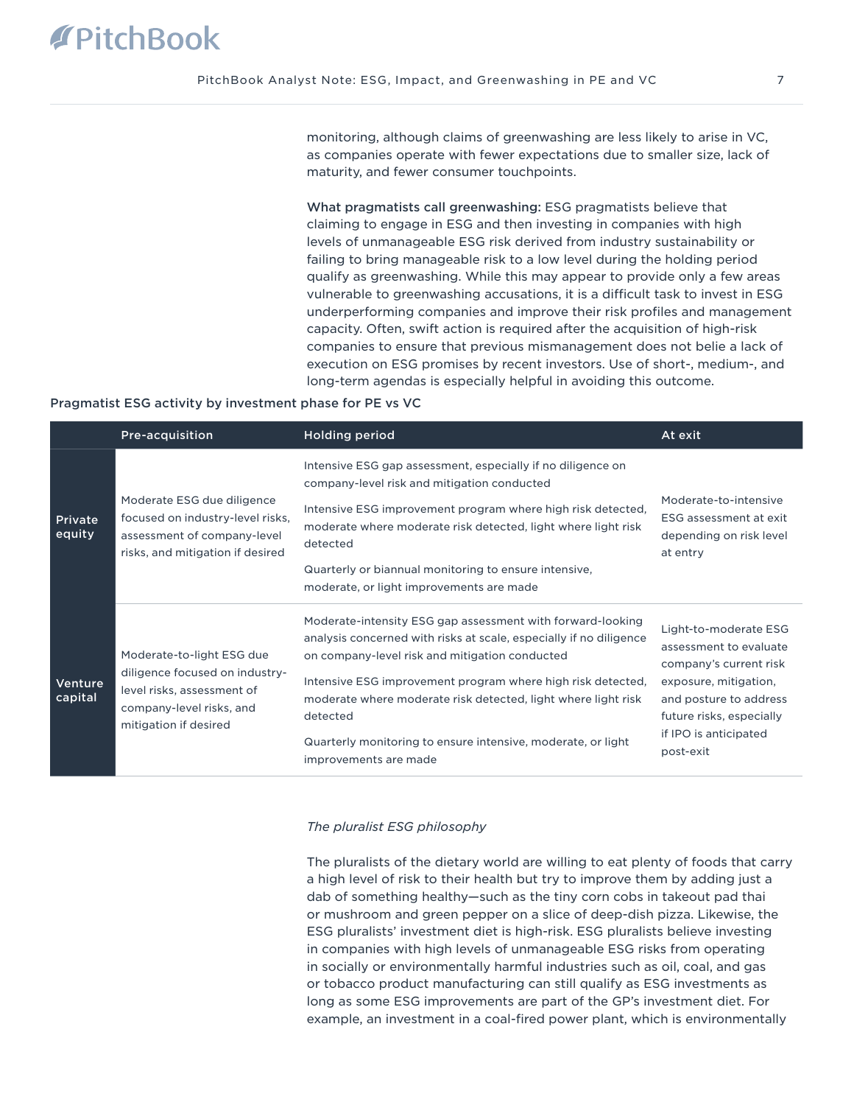monitoring, although claims of greenwashing are less likely to arise in VC, as companies operate with fewer expectations due to smaller size, lack of maturity, and fewer consumer touchpoints.

What pragmatists call greenwashing: ESG pragmatists believe that claiming to engage in ESG and then investing in companies with high levels of unmanageable ESG risk derived from industry sustainability or failing to bring manageable risk to a low level during the holding period qualify as greenwashing. While this may appear to provide only a few areas vulnerable to greenwashing accusations, it is a difficult task to invest in ESG underperforming companies and improve their risk profiles and management capacity. Often, swift action is required after the acquisition of high-risk companies to ensure that previous mismanagement does not belie a lack of execution on ESG promises by recent investors. Use of short-, medium-, and long-term agendas is especially helpful in avoiding this outcome.

#### Pragmatist ESG activity by investment phase for PE vs VC

|                    | <b>Pre-acquisition</b>                                                                                                                         | <b>Holding period</b>                                                                                                                                                                                                                                                                                                                                                                                                   | At exit                                                                                                                                                                                        |
|--------------------|------------------------------------------------------------------------------------------------------------------------------------------------|-------------------------------------------------------------------------------------------------------------------------------------------------------------------------------------------------------------------------------------------------------------------------------------------------------------------------------------------------------------------------------------------------------------------------|------------------------------------------------------------------------------------------------------------------------------------------------------------------------------------------------|
| Private<br>equity  | Moderate ESG due diligence<br>focused on industry-level risks,<br>assessment of company-level<br>risks, and mitigation if desired              | Intensive ESG gap assessment, especially if no diligence on<br>company-level risk and mitigation conducted<br>Intensive ESG improvement program where high risk detected,<br>moderate where moderate risk detected, light where light risk<br>detected<br>Quarterly or biannual monitoring to ensure intensive,<br>moderate, or light improvements are made                                                             | Moderate-to-intensive<br>ESG assessment at exit<br>depending on risk level<br>at entry                                                                                                         |
| Venture<br>capital | Moderate-to-light ESG due<br>diligence focused on industry-<br>level risks, assessment of<br>company-level risks, and<br>mitigation if desired | Moderate-intensity ESG gap assessment with forward-looking<br>analysis concerned with risks at scale, especially if no diligence<br>on company-level risk and mitigation conducted<br>Intensive ESG improvement program where high risk detected,<br>moderate where moderate risk detected, light where light risk<br>detected<br>Quarterly monitoring to ensure intensive, moderate, or light<br>improvements are made | Light-to-moderate ESG<br>assessment to evaluate<br>company's current risk<br>exposure, mitigation,<br>and posture to address<br>future risks, especially<br>if IPO is anticipated<br>post-exit |

#### *The pluralist ESG philosophy*

The pluralists of the dietary world are willing to eat plenty of foods that carry a high level of risk to their health but try to improve them by adding just a dab of something healthy—such as the tiny corn cobs in takeout pad thai or mushroom and green pepper on a slice of deep-dish pizza. Likewise, the ESG pluralists' investment diet is high-risk. ESG pluralists believe investing in companies with high levels of unmanageable ESG risks from operating in socially or environmentally harmful industries such as oil, coal, and gas or tobacco product manufacturing can still qualify as ESG investments as long as some ESG improvements are part of the GP's investment diet. For example, an investment in a coal-fired power plant, which is environmentally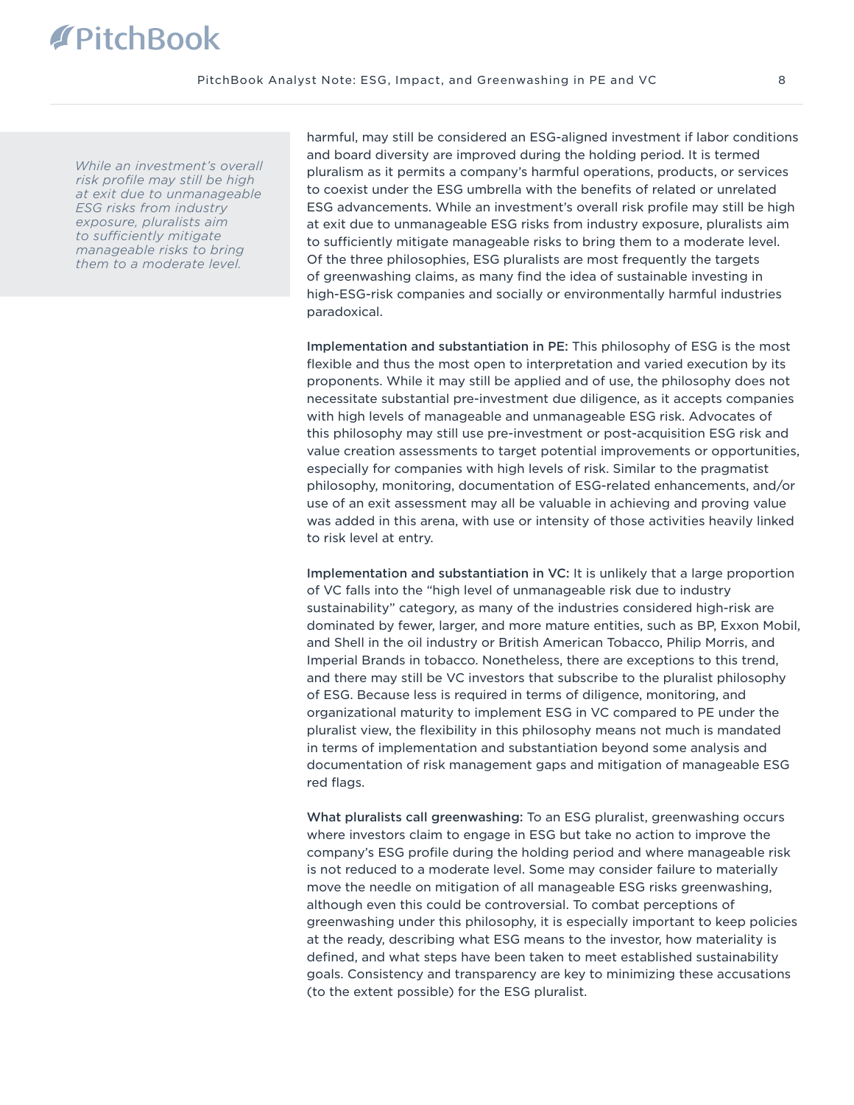## **PitchBook**

*While an investment's overall risk profile may still be high at exit due to unmanageable ESG risks from industry exposure, pluralists aim to sufficiently mitigate manageable risks to bring them to a moderate level.* 

harmful, may still be considered an ESG-aligned investment if labor conditions and board diversity are improved during the holding period. It is termed pluralism as it permits a company's harmful operations, products, or services to coexist under the ESG umbrella with the benefits of related or unrelated ESG advancements. While an investment's overall risk profile may still be high at exit due to unmanageable ESG risks from industry exposure, pluralists aim to sufficiently mitigate manageable risks to bring them to a moderate level. Of the three philosophies, ESG pluralists are most frequently the targets of greenwashing claims, as many find the idea of sustainable investing in high-ESG-risk companies and socially or environmentally harmful industries paradoxical.

Implementation and substantiation in PE: This philosophy of ESG is the most flexible and thus the most open to interpretation and varied execution by its proponents. While it may still be applied and of use, the philosophy does not necessitate substantial pre-investment due diligence, as it accepts companies with high levels of manageable and unmanageable ESG risk. Advocates of this philosophy may still use pre-investment or post-acquisition ESG risk and value creation assessments to target potential improvements or opportunities, especially for companies with high levels of risk. Similar to the pragmatist philosophy, monitoring, documentation of ESG-related enhancements, and/or use of an exit assessment may all be valuable in achieving and proving value was added in this arena, with use or intensity of those activities heavily linked to risk level at entry.

Implementation and substantiation in VC: It is unlikely that a large proportion of VC falls into the "high level of unmanageable risk due to industry sustainability" category, as many of the industries considered high-risk are dominated by fewer, larger, and more mature entities, such as BP, Exxon Mobil, and Shell in the oil industry or British American Tobacco, Philip Morris, and Imperial Brands in tobacco. Nonetheless, there are exceptions to this trend, and there may still be VC investors that subscribe to the pluralist philosophy of ESG. Because less is required in terms of diligence, monitoring, and organizational maturity to implement ESG in VC compared to PE under the pluralist view, the flexibility in this philosophy means not much is mandated in terms of implementation and substantiation beyond some analysis and documentation of risk management gaps and mitigation of manageable ESG red flags.

What pluralists call greenwashing: To an ESG pluralist, greenwashing occurs where investors claim to engage in ESG but take no action to improve the company's ESG profile during the holding period and where manageable risk is not reduced to a moderate level. Some may consider failure to materially move the needle on mitigation of all manageable ESG risks greenwashing, although even this could be controversial. To combat perceptions of greenwashing under this philosophy, it is especially important to keep policies at the ready, describing what ESG means to the investor, how materiality is defined, and what steps have been taken to meet established sustainability goals. Consistency and transparency are key to minimizing these accusations (to the extent possible) for the ESG pluralist.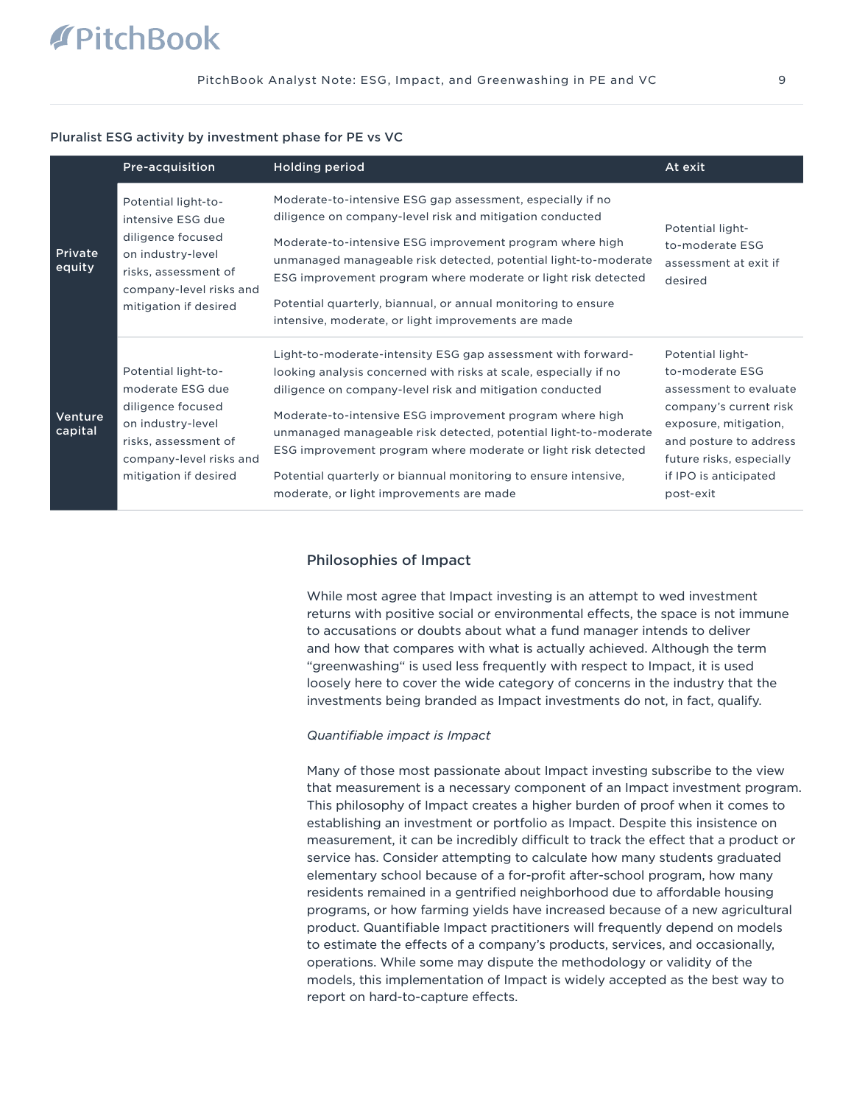#### Pluralist ESG activity by investment phase for PE vs VC

|                    | Pre-acquisition                                                                                                                                                | <b>Holding period</b>                                                                                                                                                                                                                                                                                                                                                                                                                                                                                       | At exit                                                                                                                                                                                                      |
|--------------------|----------------------------------------------------------------------------------------------------------------------------------------------------------------|-------------------------------------------------------------------------------------------------------------------------------------------------------------------------------------------------------------------------------------------------------------------------------------------------------------------------------------------------------------------------------------------------------------------------------------------------------------------------------------------------------------|--------------------------------------------------------------------------------------------------------------------------------------------------------------------------------------------------------------|
| Private<br>equity  | Potential light-to-<br>intensive ESG due<br>diligence focused<br>on industry-level<br>risks, assessment of<br>company-level risks and<br>mitigation if desired | Moderate-to-intensive ESG gap assessment, especially if no<br>diligence on company-level risk and mitigation conducted<br>Moderate-to-intensive ESG improvement program where high<br>unmanaged manageable risk detected, potential light-to-moderate<br>ESG improvement program where moderate or light risk detected<br>Potential quarterly, biannual, or annual monitoring to ensure<br>intensive, moderate, or light improvements are made                                                              | Potential light-<br>to-moderate ESG<br>assessment at exit if<br>desired                                                                                                                                      |
| Venture<br>capital | Potential light-to-<br>moderate ESG due<br>diligence focused<br>on industry-level<br>risks, assessment of<br>company-level risks and<br>mitigation if desired  | Light-to-moderate-intensity ESG gap assessment with forward-<br>looking analysis concerned with risks at scale, especially if no<br>diligence on company-level risk and mitigation conducted<br>Moderate-to-intensive ESG improvement program where high<br>unmanaged manageable risk detected, potential light-to-moderate<br>ESG improvement program where moderate or light risk detected<br>Potential quarterly or biannual monitoring to ensure intensive,<br>moderate, or light improvements are made | Potential light-<br>to-moderate ESG<br>assessment to evaluate<br>company's current risk<br>exposure, mitigation,<br>and posture to address<br>future risks, especially<br>if IPO is anticipated<br>post-exit |

#### Philosophies of Impact

While most agree that Impact investing is an attempt to wed investment returns with positive social or environmental effects, the space is not immune to accusations or doubts about what a fund manager intends to deliver and how that compares with what is actually achieved. Although the term "greenwashing" is used less frequently with respect to Impact, it is used loosely here to cover the wide category of concerns in the industry that the investments being branded as Impact investments do not, in fact, qualify.

#### *Quantifiable impact is Impact*

Many of those most passionate about Impact investing subscribe to the view that measurement is a necessary component of an Impact investment program. This philosophy of Impact creates a higher burden of proof when it comes to establishing an investment or portfolio as Impact. Despite this insistence on measurement, it can be incredibly difficult to track the effect that a product or service has. Consider attempting to calculate how many students graduated elementary school because of a for-profit after-school program, how many residents remained in a gentrified neighborhood due to affordable housing programs, or how farming yields have increased because of a new agricultural product. Quantifiable Impact practitioners will frequently depend on models to estimate the effects of a company's products, services, and occasionally, operations. While some may dispute the methodology or validity of the models, this implementation of Impact is widely accepted as the best way to report on hard-to-capture effects.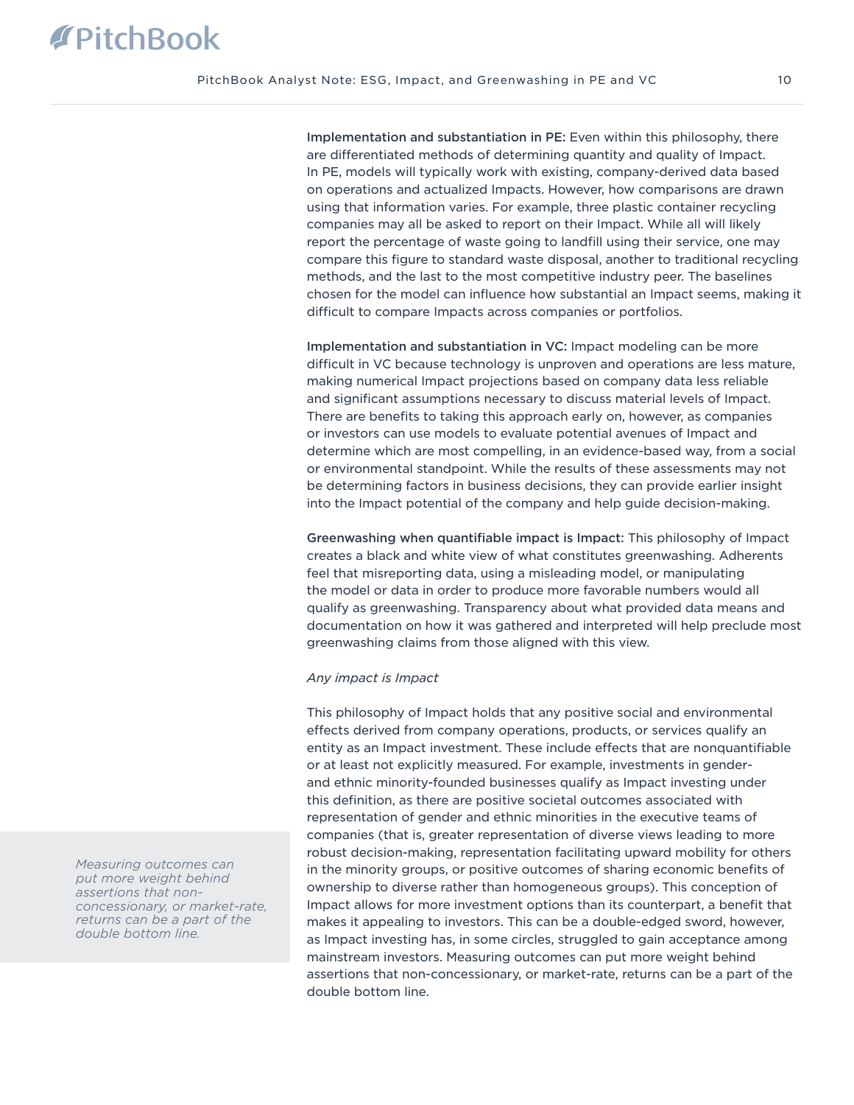Implementation and substantiation in PE: Even within this philosophy, there are differentiated methods of determining quantity and quality of Impact. In PE, models will typically work with existing, company-derived data based on operations and actualized Impacts. However, how comparisons are drawn using that information varies. For example, three plastic container recycling companies may all be asked to report on their Impact. While all will likely report the percentage of waste going to landfill using their service, one may compare this figure to standard waste disposal, another to traditional recycling methods, and the last to the most competitive industry peer. The baselines chosen for the model can influence how substantial an Impact seems, making it difficult to compare Impacts across companies or portfolios.

Implementation and substantiation in VC: Impact modeling can be more difficult in VC because technology is unproven and operations are less mature, making numerical Impact projections based on company data less reliable and significant assumptions necessary to discuss material levels of Impact. There are benefits to taking this approach early on, however, as companies or investors can use models to evaluate potential avenues of Impact and determine which are most compelling, in an evidence-based way, from a social or environmental standpoint. While the results of these assessments may not be determining factors in business decisions, they can provide earlier insight into the Impact potential of the company and help guide decision-making.

Greenwashing when quantifiable impact is Impact: This philosophy of Impact creates a black and white view of what constitutes greenwashing. Adherents feel that misreporting data, using a misleading model, or manipulating the model or data in order to produce more favorable numbers would all qualify as greenwashing. Transparency about what provided data means and documentation on how it was gathered and interpreted will help preclude most greenwashing claims from those aligned with this view.

#### *Any impact is Impact*

This philosophy of Impact holds that any positive social and environmental effects derived from company operations, products, or services qualify an entity as an Impact investment. These include effects that are nonquantifiable or at least not explicitly measured. For example, investments in genderand ethnic minority-founded businesses qualify as Impact investing under this definition, as there are positive societal outcomes associated with representation of gender and ethnic minorities in the executive teams of companies (that is, greater representation of diverse views leading to more robust decision-making, representation facilitating upward mobility for others in the minority groups, or positive outcomes of sharing economic benefits of ownership to diverse rather than homogeneous groups). This conception of Impact allows for more investment options than its counterpart, a benefit that makes it appealing to investors. This can be a double-edged sword, however, as Impact investing has, in some circles, struggled to gain acceptance among mainstream investors. Measuring outcomes can put more weight behind assertions that non-concessionary, or market-rate, returns can be a part of the double bottom line.

*Measuring outcomes can put more weight behind assertions that nonconcessionary, or market-rate, returns can be a part of the double bottom line.*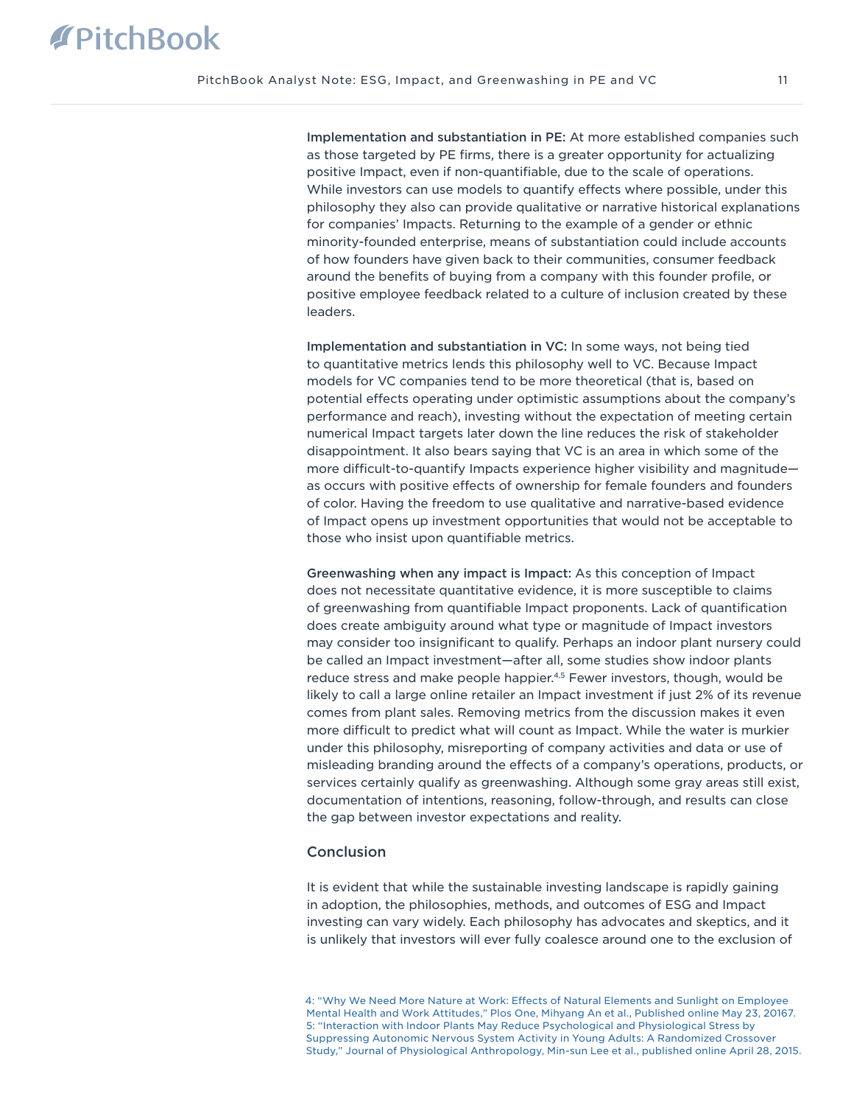Implementation and substantiation in PE: At more established companies such as those targeted by PE firms, there is a greater opportunity for actualizing positive Impact, even if non-quantifiable, due to the scale of operations. While investors can use models to quantify effects where possible, under this philosophy they also can provide qualitative or narrative historical explanations for companies' Impacts. Returning to the example of a gender or ethnic minority-founded enterprise, means of substantiation could include accounts of how founders have given back to their communities, consumer feedback around the benefits of buying from a company with this founder profile, or positive employee feedback related to a culture of inclusion created by these leaders.

Implementation and substantiation in VC: In some ways, not being tied to quantitative metrics lends this philosophy well to VC. Because Impact models for VC companies tend to be more theoretical (that is, based on potential effects operating under optimistic assumptions about the company's performance and reach), investing without the expectation of meeting certain numerical Impact targets later down the line reduces the risk of stakeholder disappointment. It also bears saying that VC is an area in which some of the more difficult-to-quantify Impacts experience higher visibility and magnitude as occurs with positive effects of ownership for female founders and founders of color. Having the freedom to use qualitative and narrative-based evidence of Impact opens up investment opportunities that would not be acceptable to those who insist upon quantifiable metrics.

Greenwashing when any impact is Impact: As this conception of Impact does not necessitate quantitative evidence, it is more susceptible to claims of greenwashing from quantifiable Impact proponents. Lack of quantification does create ambiguity around what type or magnitude of Impact investors may consider too insignificant to qualify. Perhaps an indoor plant nursery could be called an Impact investment—after all, some studies show indoor plants reduce stress and make people happier.<sup>4,5</sup> Fewer investors, though, would be likely to call a large online retailer an Impact investment if just 2% of its revenue comes from plant sales. Removing metrics from the discussion makes it even more difficult to predict what will count as Impact. While the water is murkier under this philosophy, misreporting of company activities and data or use of misleading branding around the effects of a company's operations, products, or services certainly qualify as greenwashing. Although some gray areas still exist, documentation of intentions, reasoning, follow-through, and results can close the gap between investor expectations and reality.

#### Conclusion

It is evident that while the sustainable investing landscape is rapidly gaining in adoption, the philosophies, methods, and outcomes of ESG and Impact investing can vary widely. Each philosophy has advocates and skeptics, and it is unlikely that investors will ever fully coalesce around one to the exclusion of

[4: "Why We Need More Nature at Work: Effects of Natural Elements and Sunlight on Employee](https://www.ncbi.nlm.nih.gov/pmc/articles/PMC4877070/)  [Mental Health and Work Attitudes," Plos One, Mihyang An et al., Published online May 23, 20167.](https://www.ncbi.nlm.nih.gov/pmc/articles/PMC4877070/) [5: "Interaction with Indoor Plants May Reduce Psychological and Physiological Stress by](https://www.ncbi.nlm.nih.gov/pmc/articles/PMC4419447/)  [Suppressing Autonomic Nervous System Activity in Young Adults: A Randomized Crossover](https://www.ncbi.nlm.nih.gov/pmc/articles/PMC4419447/)  [Study," Journal of Physiological Anthropology, Min-sun Lee et al., published online April 28, 2015.](https://www.ncbi.nlm.nih.gov/pmc/articles/PMC4419447/)